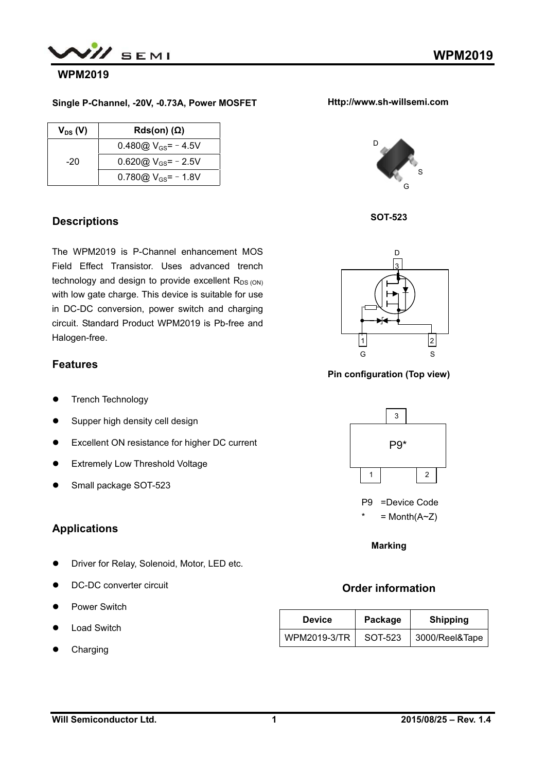

#### **WPM2019**

#### **Single P-Channel, -20V, -0.73A, Power MOSFET**

| $V_{DS} (V)$ | $Rds(on)$ ( $\Omega$ )   |
|--------------|--------------------------|
|              | 0.480 $@V_{GS}$ = - 4.5V |
| -20          | 0.620@ $V_{GS}$ = - 2.5V |
|              | 0.780 $@V_{GS} = -1.8V$  |

## **Descriptions**

The WPM2019 is P-Channel enhancement MOS Field Effect Transistor. Uses advanced trench technology and design to provide excellent  $R_{DS (ON)}$ with low gate charge. This device is suitable for use in DC-DC conversion, power switch and charging circuit. Standard Product WPM2019 is Pb-free and Halogen-free.

## **Features**

- **•** Trench Technology
- Supper high density cell design
- Excellent ON resistance for higher DC current
- **•** Extremely Low Threshold Voltage
- Small package SOT-523

## **Applications**

- **•** Driver for Relay, Solenoid, Motor, LED etc.
- DC-DC converter circuit
- Power Switch
- Load Switch
- Charging









**Pin configuration (Top view)** 



**Marking**

# **Order information**

| <b>Device</b> | Package | <b>Shipping</b> |  |
|---------------|---------|-----------------|--|
| WPM2019-3/TR  | SOT-523 | 3000/Reel&Tape  |  |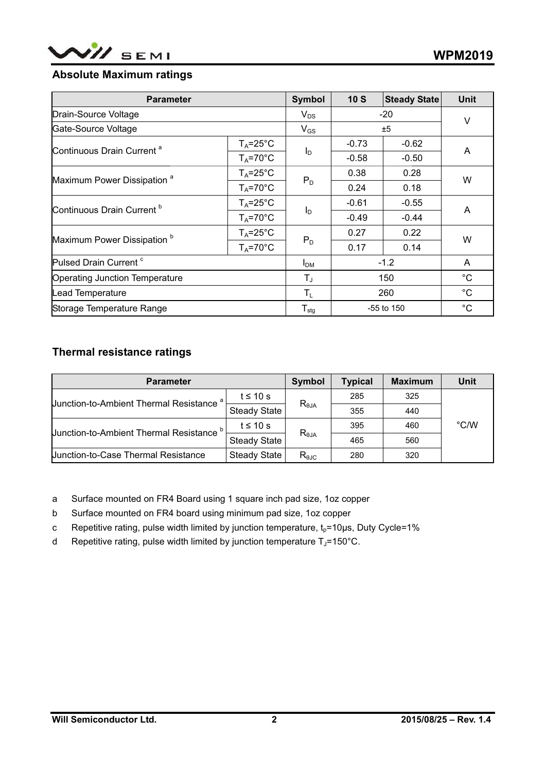

# **Absolute Maximum ratings**

| <b>Parameter</b>                       |                     | <b>Symbol</b>                | 10S     | <b>Steady State</b> | <b>Unit</b> |
|----------------------------------------|---------------------|------------------------------|---------|---------------------|-------------|
| Drain-Source Voltage                   |                     | $V_{DS}$                     | $-20$   |                     | V           |
| Gate-Source Voltage                    |                     | $V_{GS}$                     | ±5      |                     |             |
| Continuous Drain Current <sup>a</sup>  | $T_A = 25^{\circ}C$ | $I_D$                        | $-0.73$ | $-0.62$             | A           |
|                                        | $T_A = 70^\circ C$  |                              | $-0.58$ | $-0.50$             |             |
| Maximum Power Dissipation <sup>a</sup> | $T_A = 25^{\circ}C$ |                              | 0.38    | 0.28                | W           |
|                                        | $T_A = 70^\circ C$  | $P_D$                        | 0.24    | 0.18                |             |
| Continuous Drain Current <sup>b</sup>  | $T_A = 25^{\circ}C$ | $I_D$                        | $-0.61$ | $-0.55$             | A           |
|                                        | $T_A = 70^\circ C$  |                              | $-0.49$ | $-0.44$             |             |
| Maximum Power Dissipation <sup>b</sup> | $T_A = 25^{\circ}C$ | $P_D$                        | 0.27    | 0.22                | W           |
|                                        | $T_A = 70^\circ C$  |                              | 0.17    | 0.14                |             |
| Pulsed Drain Current <sup>c</sup>      |                     | $I_{DM}$                     |         | $-1.2$              | A           |
| Operating Junction Temperature         |                     | $T_{\text{J}}$               |         | 150                 | $^{\circ}C$ |
| Lead Temperature                       |                     | $T_{L}$                      |         | 260                 | $^{\circ}C$ |
| Storage Temperature Range              |                     | ${\mathsf T}_{\textsf{stg}}$ |         | -55 to 150          | $^{\circ}C$ |

# **Thermal resistance ratings**

| <b>Parameter</b>                                    | Symbol              | <b>Typical</b>  | <b>Maximum</b> | <b>Unit</b> |               |
|-----------------------------------------------------|---------------------|-----------------|----------------|-------------|---------------|
| Junction-to-Ambient Thermal Resistance <sup>a</sup> | t $\leq 10$ s       | $R_{\theta JA}$ | 285            | 325         |               |
|                                                     | <b>Steady State</b> |                 | 355            | 440         |               |
|                                                     | t $\leq 10$ s       | $R_{\theta JA}$ | 395            | 460         | $\degree$ C/W |
| <b>Junction-to-Ambient Thermal Resistance</b>       | <b>Steady State</b> |                 | 465            | 560         |               |
| <b>Junction-to-Case Thermal Resistance</b>          | <b>Steady State</b> | $R_{\theta$ JC  | 280            | 320         |               |

a Surface mounted on FR4 Board using 1 square inch pad size, 1oz copper

- b Surface mounted on FR4 board using minimum pad size, 1oz copper
- c Repetitive rating, pulse width limited by junction temperature,  $t_p=10\mu s$ , Duty Cycle=1%
- d Repetitive rating, pulse width limited by junction temperature  $T_J$ =150°C.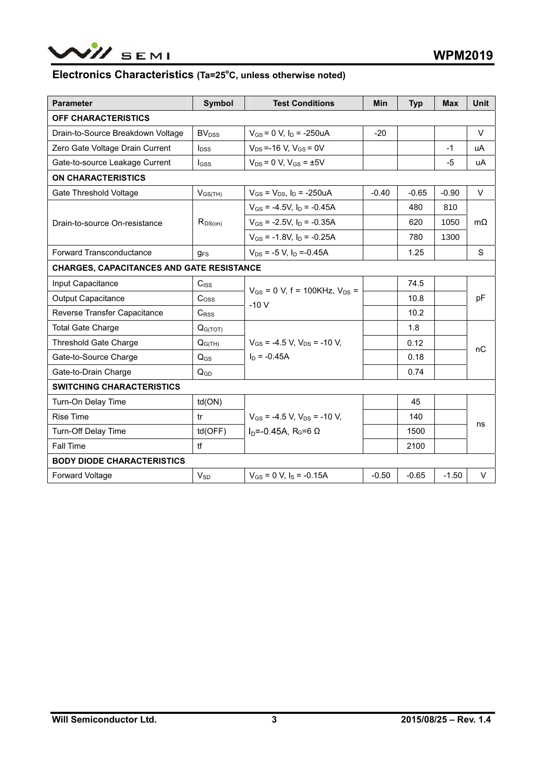

#### Electronics Characteristics (Ta=25°C, unless otherwise noted)

| <b>Parameter</b>                                 | <b>Symbol</b>            | <b>Test Conditions</b>                           | <b>Min</b> | <b>Typ</b> | <b>Max</b> | <b>Unit</b> |  |
|--------------------------------------------------|--------------------------|--------------------------------------------------|------------|------------|------------|-------------|--|
| <b>OFF CHARACTERISTICS</b>                       |                          |                                                  |            |            |            |             |  |
| Drain-to-Source Breakdown Voltage                | <b>BV</b> <sub>DSS</sub> | $V_{GS}$ = 0 V, $I_D$ = -250uA<br>$-20$          |            |            |            | V           |  |
| Zero Gate Voltage Drain Current                  | $I_{\text{DSS}}$         | $V_{DS}$ =-16 V, $V_{GS}$ = 0V                   |            |            | $-1$       | uA          |  |
| Gate-to-source Leakage Current                   | Igss                     | $V_{DS} = 0 V$ , $V_{GS} = \pm 5V$               |            |            | $-5$       | uA          |  |
| <b>ON CHARACTERISTICS</b>                        |                          |                                                  |            |            |            |             |  |
| Gate Threshold Voltage                           | $V_{GS(TH)}$             | $V_{GS} = V_{DS}$ , $I_D = -250uA$               | $-0.40$    | $-0.65$    | $-0.90$    | $\vee$      |  |
|                                                  |                          | $V_{GS}$ = -4.5V, $I_D$ = -0.45A                 |            | 480        | 810        |             |  |
| Drain-to-source On-resistance                    | $R_{DS(on)}$             | $V_{GS}$ = -2.5V, $I_D$ = -0.35A                 |            | 620        | 1050       | $m\Omega$   |  |
|                                                  |                          | $V_{GS}$ = -1.8V, $I_D$ = -0.25A                 |            | 780        | 1300       |             |  |
| Forward Transconductance                         | $g_{FS}$                 | $V_{DS}$ = -5 V, $I_D$ =-0.45A                   |            | 1.25       |            | S           |  |
| <b>CHARGES, CAPACITANCES AND GATE RESISTANCE</b> |                          |                                                  |            |            |            |             |  |
| Input Capacitance                                | $C_{ISS}$                |                                                  |            | 74.5       |            | pF<br>nC    |  |
| <b>Output Capacitance</b>                        | C <sub>oss</sub>         | $V_{GS} = 0$ V, f = 100KHz, $V_{DS} =$<br>$-10V$ |            | 10.8       |            |             |  |
| Reverse Transfer Capacitance                     | $C_{RSS}$                |                                                  |            | 10.2       |            |             |  |
| <b>Total Gate Charge</b>                         | $Q_{G(TOT)}$             |                                                  |            | 1.8        |            |             |  |
| <b>Threshold Gate Charge</b>                     | $Q_{G(TH)}$              | $V_{GS}$ = -4.5 V. $V_{DS}$ = -10 V.             |            | 0.12       |            |             |  |
| Gate-to-Source Charge                            | $Q_{GS}$                 | $I_{\text{D}}$ = -0.45A                          |            | 0.18       |            |             |  |
| Gate-to-Drain Charge                             | $Q_{GD}$                 |                                                  |            | 0.74       |            |             |  |
| <b>SWITCHING CHARACTERISTICS</b>                 |                          |                                                  |            |            |            |             |  |
| Turn-On Delay Time                               | td(ON)                   |                                                  |            | 45         |            |             |  |
| <b>Rise Time</b>                                 | tr                       | $V_{GS}$ = -4.5 V, $V_{DS}$ = -10 V,             |            | 140        |            | ns          |  |
| Turn-Off Delay Time                              | td(OFF)                  | $ID=-0.45A$ , R <sub>G</sub> =6 Ω                |            | 1500       |            |             |  |
| <b>Fall Time</b>                                 | H                        |                                                  |            | 2100       |            |             |  |
| <b>BODY DIODE CHARACTERISTICS</b>                |                          |                                                  |            |            |            |             |  |
| Forward Voltage                                  | $V_{SD}$                 | $V_{GS}$ = 0 V, $I_S$ = -0.15A                   | $-0.50$    | $-0.65$    | $-1.50$    | $\vee$      |  |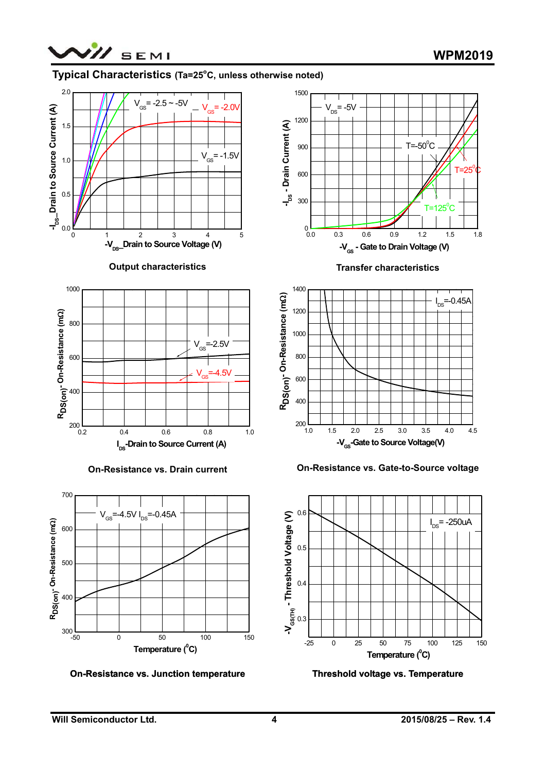

### Typical Characteristics (Ta=25°C, unless otherwise noted)



#### **Output characteristics**



**On-Resistance vs. Drain current** 



**On-Resistance vs. Junction temperature** 



**Transfer characteristics** 



**On-Resistance vs. Gate-to-Source voltage** 



**Threshold voltage vs. Temperature**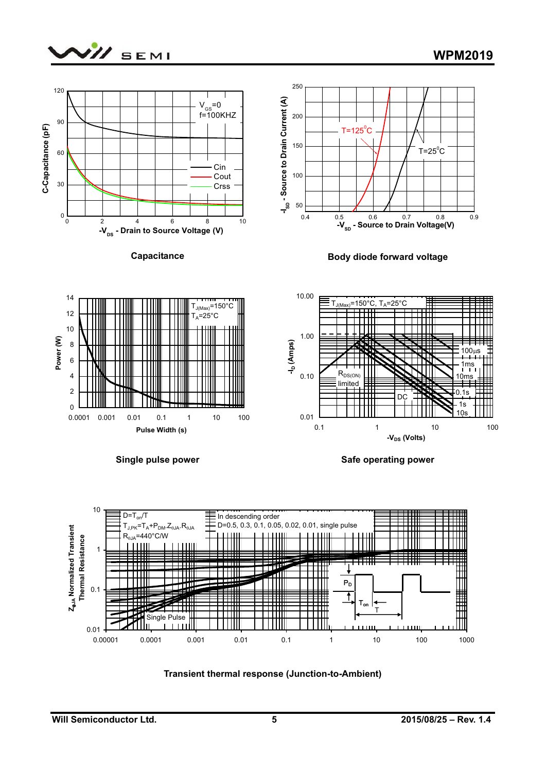





**Transient thermal response (Junction-to-Ambient)**